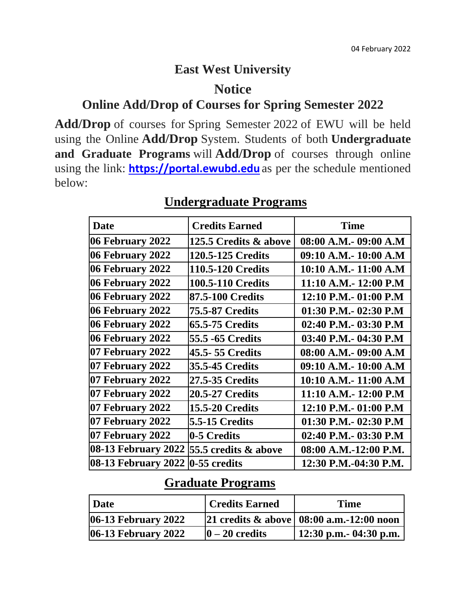## **East West University**

#### **Notice**

#### **Online Add/Drop of Courses for Spring Semester 2022**

**Add/Drop** of courses for Spring Semester 2022 of EWU will be held using the Online **Add/Drop** System. Students of both **Undergraduate and Graduate Programs** will **Add/Drop** of courses through online using the link: **[https://portal.ewubd.edu](https://portal.ewubd.edu/)** as per the schedule mentioned below:

| <b>Date</b>                | <b>Credits Earned</b>    | <b>Time</b>            |
|----------------------------|--------------------------|------------------------|
| 06 February 2022           | 125.5 Credits & above    | 08:00 A.M.- 09:00 A.M  |
| 06 February 2022           | <b>120.5-125 Credits</b> | 09:10 A.M.- 10:00 A.M  |
| 06 February 2022           | <b>110.5-120 Credits</b> | 10:10 A.M.- 11:00 A.M  |
| 06 February 2022           | <b>100.5-110 Credits</b> | 11:10 A.M.- 12:00 P.M  |
| 06 February 2022           | 87.5-100 Credits         | 12:10 P.M. - 01:00 P.M |
| 06 February 2022           | <b>75.5-87 Credits</b>   | 01:30 P.M.- 02:30 P.M  |
| 06 February 2022           | <b>65.5-75 Credits</b>   | 02:40 P.M.- 03:30 P.M  |
| 06 February 2022           | 55.5 -65 Credits         | 03:40 P.M. - 04:30 P.M |
| 07 February 2022           | 45.5-55 Credits          | 08:00 A.M.- 09:00 A.M  |
| 07 February 2022           | <b>35.5-45 Credits</b>   | 09:10 A.M.- 10:00 A.M  |
| 07 February 2022           | 27.5-35 Credits          | 10:10 A.M.- 11:00 A.M  |
| 07 February 2022           | 20.5-27 Credits          | 11:10 A.M.- 12:00 P.M  |
| 07 February 2022           | <b>15.5-20 Credits</b>   | 12:10 P.M. - 01:00 P.M |
| 07 February 2022           | 5.5-15 Credits           | 01:30 P.M.- 02:30 P.M  |
| 07 February 2022           | 0-5 Credits              | 02:40 P.M.- 03:30 P.M  |
| 08-13 February 2022        | 55.5 credits & above     | 08:00 A.M.-12:00 P.M.  |
| <b>08-13 February 2022</b> | $0-55$ credits           | 12:30 P.M.-04:30 P.M.  |

#### **Undergraduate Programs**

# **Graduate Programs**

| Date                   | <b>Credits Earned</b> | <b>Time</b>                                                                      |
|------------------------|-----------------------|----------------------------------------------------------------------------------|
| $ 06-13$ February 2022 |                       | $ 21 \text{ credits} \& \text{ above}   08:00 \text{ a.m.} - 12:00 \text{ noon}$ |
| $ 06-13$ February 2022 | $ 0 - 20$ credits     | $\vert$ 12:30 p.m. 04:30 p.m.                                                    |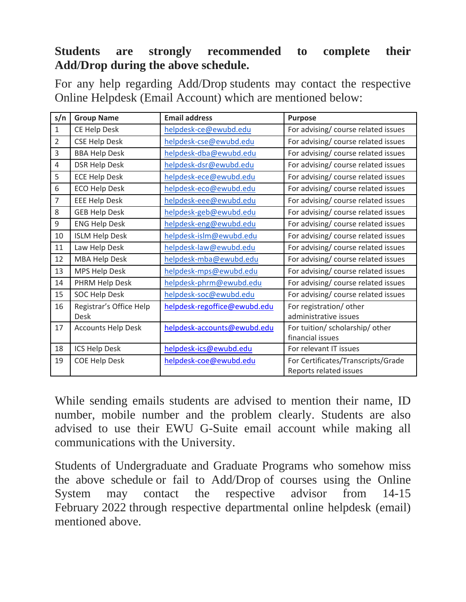### **Students are strongly recommended to complete their Add/Drop during the above schedule.**

For any help regarding Add/Drop students may contact the respective Online Helpdesk (Email Account) which are mentioned below:

| s/n            | <b>Group Name</b>         | <b>Email address</b>         | <b>Purpose</b>                      |
|----------------|---------------------------|------------------------------|-------------------------------------|
| $\mathbf{1}$   | CE Help Desk              | helpdesk-ce@ewubd.edu        | For advising/ course related issues |
| $\overline{2}$ | <b>CSE Help Desk</b>      | helpdesk-cse@ewubd.edu       | For advising/ course related issues |
| 3              | <b>BBA Help Desk</b>      | helpdesk-dba@ewubd.edu       | For advising/ course related issues |
| 4              | <b>DSR Help Desk</b>      | helpdesk-dsr@ewubd.edu       | For advising/ course related issues |
| 5              | <b>ECE Help Desk</b>      | helpdesk-ece@ewubd.edu       | For advising/ course related issues |
| 6              | <b>ECO Help Desk</b>      | helpdesk-eco@ewubd.edu       | For advising/ course related issues |
| 7              | <b>EEE Help Desk</b>      | helpdesk-eee@ewubd.edu       | For advising/ course related issues |
| 8              | <b>GEB Help Desk</b>      | helpdesk-geb@ewubd.edu       | For advising/ course related issues |
| 9              | <b>ENG Help Desk</b>      | helpdesk-eng@ewubd.edu       | For advising/ course related issues |
| 10             | <b>ISLM Help Desk</b>     | helpdesk-islm@ewubd.edu      | For advising/ course related issues |
| 11             | Law Help Desk             | helpdesk-law@ewubd.edu       | For advising/ course related issues |
| 12             | <b>MBA Help Desk</b>      | helpdesk-mba@ewubd.edu       | For advising/ course related issues |
| 13             | MPS Help Desk             | helpdesk-mps@ewubd.edu       | For advising/ course related issues |
| 14             | PHRM Help Desk            | helpdesk-phrm@ewubd.edu      | For advising/ course related issues |
| 15             | <b>SOC Help Desk</b>      | helpdesk-soc@ewubd.edu       | For advising/ course related issues |
| 16             | Registrar's Office Help   | helpdesk-regoffice@ewubd.edu | For registration/other              |
|                | Desk                      |                              | administrative issues               |
| 17             | <b>Accounts Help Desk</b> | helpdesk-accounts@ewubd.edu  | For tuition/ scholarship/ other     |
|                |                           |                              | financial issues                    |
| 18             | ICS Help Desk             | helpdesk-ics@ewubd.edu       | For relevant IT issues              |
| 19             | <b>COE Help Desk</b>      | helpdesk-coe@ewubd.edu       | For Certificates/Transcripts/Grade  |
|                |                           |                              | Reports related issues              |

While sending emails students are advised to mention their name, ID number, mobile number and the problem clearly. Students are also advised to use their EWU G-Suite email account while making all communications with the University.

Students of Undergraduate and Graduate Programs who somehow miss the above schedule or fail to Add/Drop of courses using the Online System may contact the respective advisor from 14-15 February 2022 through respective departmental online helpdesk (email) mentioned above.